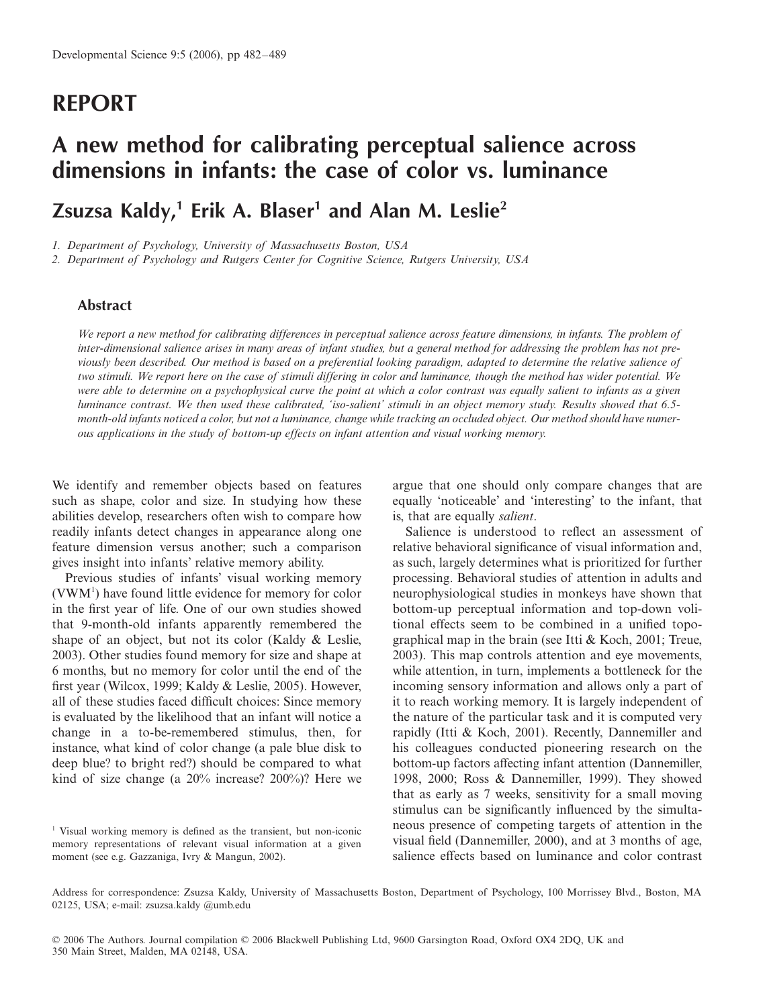# **REPORT**

# **A new method for calibrating perceptual salience across dimensions in infants: the case of color vs. luminance**

**Zsuzsa Kaldy,1 Erik A. Blaser1 and Alan M. Leslie2**

*1. Department of Psychology, University of Massachusetts Boston, USA* 

*2. Department of Psychology and Rutgers Center for Cognitive Science, Rutgers University, USA*

## **Abstract**

*We report a new method for calibrating differences in perceptual salience across feature dimensions, in infants. The problem of inter-dimensional salience arises in many areas of infant studies, but a general method for addressing the problem has not previously been described. Our method is based on a preferential looking paradigm, adapted to determine the relative salience of two stimuli. We report here on the case of stimuli differing in color and luminance, though the method has wider potential. We were able to determine on a psychophysical curve the point at which a color contrast was equally salient to infants as a given luminance contrast. We then used these calibrated, 'iso-salient' stimuli in an object memory study. Results showed that 6.5 month-old infants noticed a color, but not a luminance, change while tracking an occluded object. Our method should have numerous applications in the study of bottom-up effects on infant attention and visual working memory.*

We identify and remember objects based on features such as shape, color and size. In studying how these abilities develop, researchers often wish to compare how readily infants detect changes in appearance along one feature dimension versus another; such a comparison gives insight into infants' relative memory ability.

Previous studies of infants' visual working memory (VWM1 ) have found little evidence for memory for color in the first year of life. One of our own studies showed that 9-month-old infants apparently remembered the shape of an object, but not its color (Kaldy & Leslie, 2003). Other studies found memory for size and shape at 6 months, but no memory for color until the end of the first year (Wilcox, 1999; Kaldy & Leslie, 2005). However, all of these studies faced difficult choices: Since memory is evaluated by the likelihood that an infant will notice a change in a to-be-remembered stimulus, then, for instance, what kind of color change (a pale blue disk to deep blue? to bright red?) should be compared to what kind of size change (a 20% increase? 200%)? Here we

<sup>1</sup> Visual working memory is defined as the transient, but non-iconic memory representations of relevant visual information at a given moment (see e.g. Gazzaniga, Ivry & Mangun, 2002).

argue that one should only compare changes that are equally 'noticeable' and 'interesting' to the infant, that is, that are equally *salient*.

Salience is understood to reflect an assessment of relative behavioral significance of visual information and, as such, largely determines what is prioritized for further processing. Behavioral studies of attention in adults and neurophysiological studies in monkeys have shown that bottom-up perceptual information and top-down volitional effects seem to be combined in a unified topographical map in the brain (see Itti & Koch, 2001; Treue, 2003). This map controls attention and eye movements, while attention, in turn, implements a bottleneck for the incoming sensory information and allows only a part of it to reach working memory. It is largely independent of the nature of the particular task and it is computed very rapidly (Itti & Koch, 2001). Recently, Dannemiller and his colleagues conducted pioneering research on the bottom-up factors affecting infant attention (Dannemiller, 1998, 2000; Ross & Dannemiller, 1999). They showed that as early as 7 weeks, sensitivity for a small moving stimulus can be significantly influenced by the simultaneous presence of competing targets of attention in the visual field (Dannemiller, 2000), and at 3 months of age, salience effects based on luminance and color contrast

Address for correspondence: Zsuzsa Kaldy, University of Massachusetts Boston, Department of Psychology, 100 Morrissey Blvd., Boston, MA 02125, USA; e-mail: zsuzsa.kaldy @umb.edu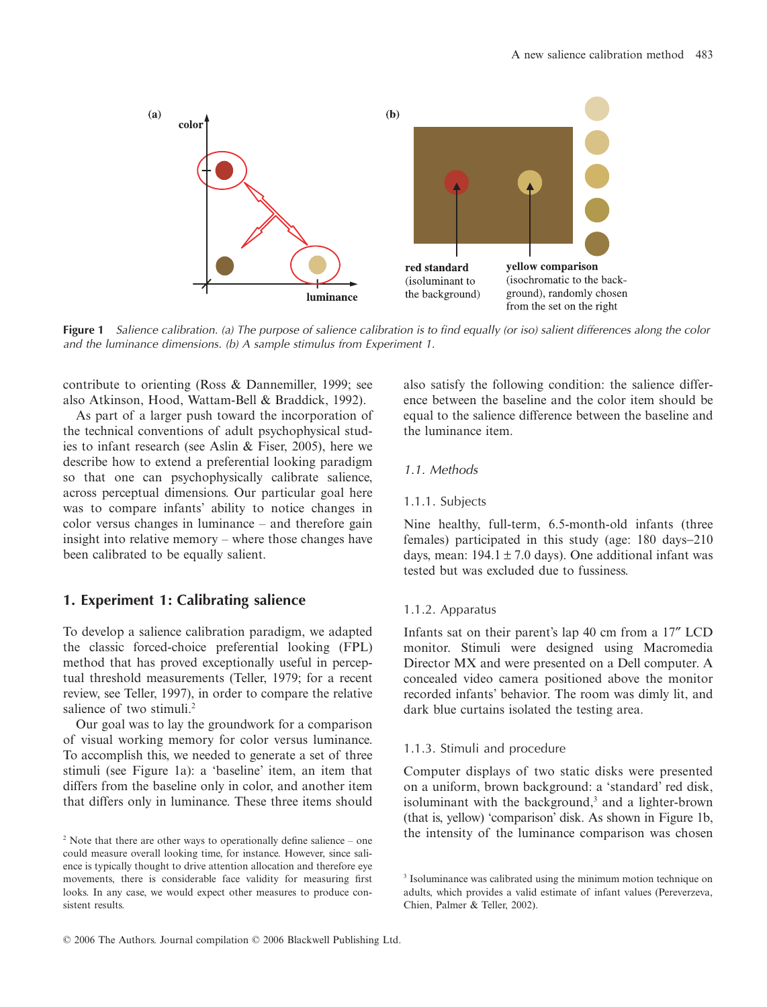

**Figure 1** Salience calibration. (a) The purpose of salience calibration is to find equally (or iso) salient differences along the color and the luminance dimensions. (b) A sample stimulus from Experiment 1.

contribute to orienting (Ross & Dannemiller, 1999; see also Atkinson, Hood, Wattam-Bell & Braddick, 1992).

As part of a larger push toward the incorporation of the technical conventions of adult psychophysical studies to infant research (see Aslin & Fiser, 2005), here we describe how to extend a preferential looking paradigm so that one can psychophysically calibrate salience, across perceptual dimensions. Our particular goal here was to compare infants' ability to notice changes in color versus changes in luminance – and therefore gain insight into relative memory – where those changes have been calibrated to be equally salient.

## **1. Experiment 1: Calibrating salience**

To develop a salience calibration paradigm, we adapted the classic forced-choice preferential looking (FPL) method that has proved exceptionally useful in perceptual threshold measurements (Teller, 1979; for a recent review, see Teller, 1997), in order to compare the relative salience of two stimuli.<sup>2</sup>

Our goal was to lay the groundwork for a comparison of visual working memory for color versus luminance. To accomplish this, we needed to generate a set of three stimuli (see Figure 1a): a 'baseline' item, an item that differs from the baseline only in color, and another item that differs only in luminance. These three items should also satisfy the following condition: the salience difference between the baseline and the color item should be equal to the salience difference between the baseline and the luminance item.

## 1.1. Methods

#### 1.1.1. Subjects

Nine healthy, full-term, 6.5-month-old infants (three females) participated in this study (age: 180 days−210 days, mean:  $194.1 \pm 7.0$  days). One additional infant was tested but was excluded due to fussiness.

#### 1.1.2. Apparatus

Infants sat on their parent's lap 40 cm from a 17″ LCD monitor. Stimuli were designed using Macromedia Director MX and were presented on a Dell computer. A concealed video camera positioned above the monitor recorded infants' behavior. The room was dimly lit, and dark blue curtains isolated the testing area.

#### 1.1.3. Stimuli and procedure

Computer displays of two static disks were presented on a uniform, brown background: a 'standard' red disk, isoluminant with the background,<sup>3</sup> and a lighter-brown (that is, yellow) 'comparison' disk. As shown in Figure 1b, <sup>2</sup> Note that there are other ways to operationally define salience – one the intensity of the luminance comparison was chosen

could measure overall looking time, for instance. However, since salience is typically thought to drive attention allocation and therefore eye movements, there is considerable face validity for measuring first looks. In any case, we would expect other measures to produce consistent results.

<sup>&</sup>lt;sup>3</sup> Isoluminance was calibrated using the minimum motion technique on adults, which provides a valid estimate of infant values (Pereverzeva, Chien, Palmer & Teller, 2002).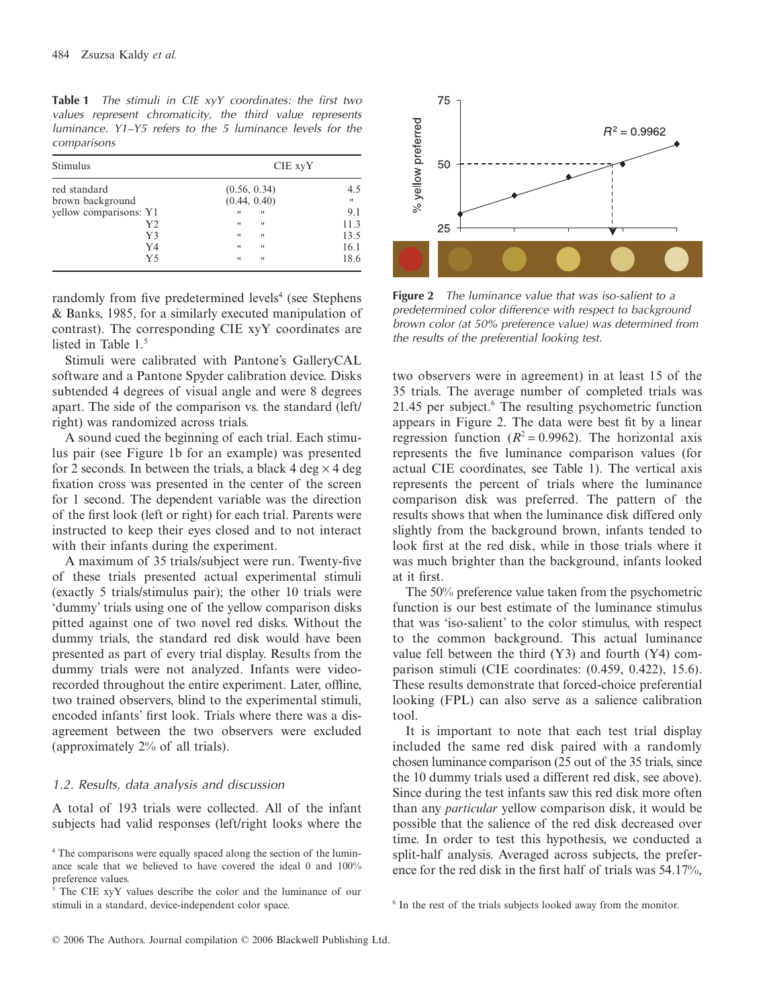**Table 1** The stimuli in CIE xyY coordinates: the first two values represent chromaticity, the third value represents luminance. Y1–Y5 refers to the 5 luminance levels for the comparisons

| Stimulus               | CIE xyY                                |              |
|------------------------|----------------------------------------|--------------|
| red standard           | (0.56, 0.34)                           | 4.5          |
| brown background       | (0.44, 0.40)                           | $\mathbf{H}$ |
| yellow comparisons: Y1 | $\mathbf{H}$<br>$^{\prime}$            | 9.1          |
| Y2                     | $^{\prime\prime}$<br>$^{\prime\prime}$ | 11.3         |
| Y3                     | $\mathbf{H}$<br>$^{\prime\prime}$      | 13.5         |
| Y4                     | $\mathbf{H}$<br>$^{\prime\prime}$      | 16.1         |
| Y5                     | $\mathbf{H}$<br>$\mathbf{H}$           | 18.6         |

randomly from five predetermined levels<sup>4</sup> (see Stephens & Banks, 1985, for a similarly executed manipulation of contrast). The corresponding CIE xyY coordinates are listed in Table 1.<sup>5</sup>

Stimuli were calibrated with Pantone's GalleryCAL software and a Pantone Spyder calibration device. Disks subtended 4 degrees of visual angle and were 8 degrees apart. The side of the comparison vs. the standard (left/ right) was randomized across trials.

A sound cued the beginning of each trial. Each stimulus pair (see Figure 1b for an example) was presented for 2 seconds. In between the trials, a black 4 deg  $\times$  4 deg fixation cross was presented in the center of the screen for 1 second. The dependent variable was the direction of the first look (left or right) for each trial. Parents were instructed to keep their eyes closed and to not interact with their infants during the experiment.

A maximum of 35 trials/subject were run. Twenty-five of these trials presented actual experimental stimuli (exactly 5 trials/stimulus pair); the other 10 trials were 'dummy' trials using one of the yellow comparison disks pitted against one of two novel red disks. Without the dummy trials, the standard red disk would have been presented as part of every trial display. Results from the dummy trials were not analyzed. Infants were videorecorded throughout the entire experiment. Later, offline, two trained observers, blind to the experimental stimuli, encoded infants' first look. Trials where there was a disagreement between the two observers were excluded (approximately 2% of all trials).

#### 1.2. Results, data analysis and discussion

A total of 193 trials were collected. All of the infant subjects had valid responses (left/right looks where the



**Figure 2** The luminance value that was iso-salient to a predetermined color difference with respect to background brown color (at 50% preference value) was determined from the results of the preferential looking test.

two observers were in agreement) in at least 15 of the 35 trials. The average number of completed trials was  $21.45$  per subject.<sup>6</sup> The resulting psychometric function appears in Figure 2. The data were best fit by a linear regression function  $(R^2 = 0.9962)$ . The horizontal axis represents the five luminance comparison values (for actual CIE coordinates, see Table 1). The vertical axis represents the percent of trials where the luminance comparison disk was preferred. The pattern of the results shows that when the luminance disk differed only slightly from the background brown, infants tended to look first at the red disk, while in those trials where it was much brighter than the background, infants looked at it first.

The 50% preference value taken from the psychometric function is our best estimate of the luminance stimulus that was 'iso-salient' to the color stimulus, with respect to the common background. This actual luminance value fell between the third  $(Y3)$  and fourth  $(Y4)$  comparison stimuli (CIE coordinates: (0.459, 0.422), 15.6). These results demonstrate that forced-choice preferential looking (FPL) can also serve as a salience calibration tool.

It is important to note that each test trial display included the same red disk paired with a randomly chosen luminance comparison (25 out of the 35 trials, since the 10 dummy trials used a different red disk, see above). Since during the test infants saw this red disk more often than any *particular* yellow comparison disk, it would be possible that the salience of the red disk decreased over time. In order to test this hypothesis, we conducted a split-half analysis. Averaged across subjects, the preference for the red disk in the first half of trials was 54.17%,

<sup>4</sup> The comparisons were equally spaced along the section of the luminance scale that we believed to have covered the ideal 0 and 100% preference values.

<sup>5</sup> The CIE xyY values describe the color and the luminance of our stimuli in a standard, device-independent color space.

<sup>&</sup>lt;sup>6</sup> In the rest of the trials subjects looked away from the monitor.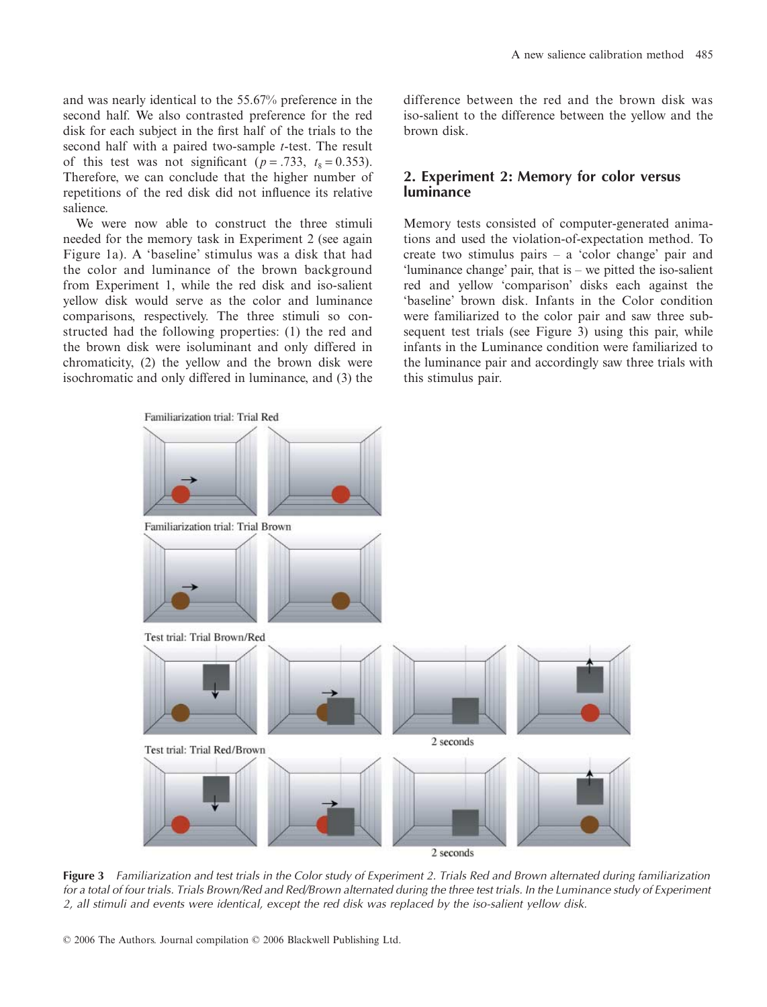and was nearly identical to the 55.67% preference in the second half. We also contrasted preference for the red disk for each subject in the first half of the trials to the second half with a paired two-sample *t*-test. The result of this test was not significant ( $p = .733$ ,  $t_8 = 0.353$ ). Therefore, we can conclude that the higher number of repetitions of the red disk did not influence its relative salience.

We were now able to construct the three stimuli needed for the memory task in Experiment 2 (see again Figure 1a). A 'baseline' stimulus was a disk that had the color and luminance of the brown background from Experiment 1, while the red disk and iso-salient yellow disk would serve as the color and luminance comparisons, respectively. The three stimuli so constructed had the following properties: (1) the red and the brown disk were isoluminant and only differed in chromaticity, (2) the yellow and the brown disk were isochromatic and only differed in luminance, and (3) the difference between the red and the brown disk was iso-salient to the difference between the yellow and the brown disk.

### **2. Experiment 2: Memory for color versus luminance**

Memory tests consisted of computer-generated animations and used the violation-of-expectation method. To create two stimulus pairs – a 'color change' pair and 'luminance change' pair, that is – we pitted the iso-salient red and yellow 'comparison' disks each against the 'baseline' brown disk. Infants in the Color condition were familiarized to the color pair and saw three subsequent test trials (see Figure 3) using this pair, while infants in the Luminance condition were familiarized to the luminance pair and accordingly saw three trials with this stimulus pair.



**Figure 3** Familiarization and test trials in the Color study of Experiment 2. Trials Red and Brown alternated during familiarization for a total of four trials. Trials Brown/Red and Red/Brown alternated during the three test trials. In the Luminance study of Experiment 2, all stimuli and events were identical, except the red disk was replaced by the iso-salient yellow disk.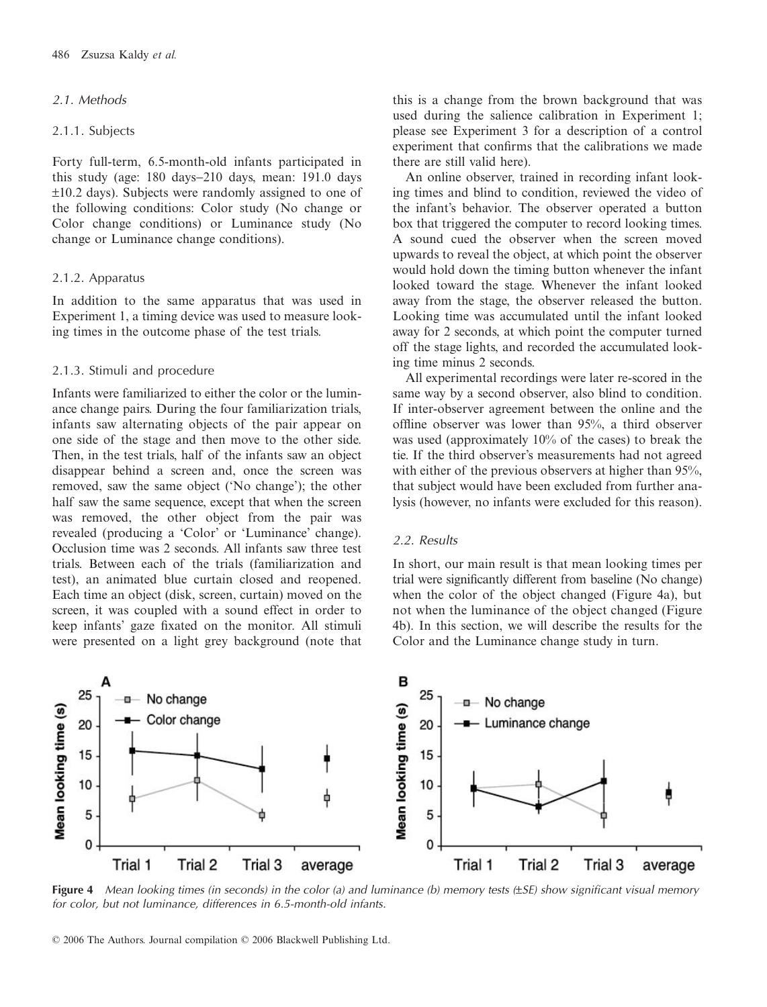#### 2.1. Methods

2.1.1. Subjects

Forty full-term, 6.5-month-old infants participated in this study (age: 180 days−210 days, mean: 191.0 days ±10.2 days). Subjects were randomly assigned to one of the following conditions: Color study (No change or Color change conditions) or Luminance study (No change or Luminance change conditions).

#### 2.1.2. Apparatus

In addition to the same apparatus that was used in Experiment 1, a timing device was used to measure looking times in the outcome phase of the test trials.

#### 2.1.3. Stimuli and procedure

Infants were familiarized to either the color or the luminance change pairs. During the four familiarization trials, infants saw alternating objects of the pair appear on one side of the stage and then move to the other side. Then, in the test trials, half of the infants saw an object disappear behind a screen and, once the screen was removed, saw the same object ('No change'); the other half saw the same sequence, except that when the screen was removed, the other object from the pair was revealed (producing a 'Color' or 'Luminance' change). Occlusion time was 2 seconds. All infants saw three test trials. Between each of the trials (familiarization and test), an animated blue curtain closed and reopened. Each time an object (disk, screen, curtain) moved on the screen, it was coupled with a sound effect in order to keep infants' gaze fixated on the monitor. All stimuli were presented on a light grey background (note that

this is a change from the brown background that was used during the salience calibration in Experiment 1; please see Experiment 3 for a description of a control experiment that confirms that the calibrations we made there are still valid here).

An online observer, trained in recording infant looking times and blind to condition, reviewed the video of the infant's behavior. The observer operated a button box that triggered the computer to record looking times. A sound cued the observer when the screen moved upwards to reveal the object, at which point the observer would hold down the timing button whenever the infant looked toward the stage. Whenever the infant looked away from the stage, the observer released the button. Looking time was accumulated until the infant looked away for 2 seconds, at which point the computer turned off the stage lights, and recorded the accumulated looking time minus 2 seconds.

All experimental recordings were later re-scored in the same way by a second observer, also blind to condition. If inter-observer agreement between the online and the offline observer was lower than 95%, a third observer was used (approximately 10% of the cases) to break the tie. If the third observer's measurements had not agreed with either of the previous observers at higher than 95%. that subject would have been excluded from further analysis (however, no infants were excluded for this reason).

#### 2.2. Results

In short, our main result is that mean looking times per trial were significantly different from baseline (No change) when the color of the object changed (Figure 4a), but not when the luminance of the object changed (Figure 4b). In this section, we will describe the results for the Color and the Luminance change study in turn.



**Figure 4** Mean looking times (in seconds) in the color (a) and luminance (b) memory tests (±SE) show significant visual memory for color, but not luminance, differences in 6.5-month-old infants.

© 2006 The Authors. Journal compilation © 2006 Blackwell Publishing Ltd.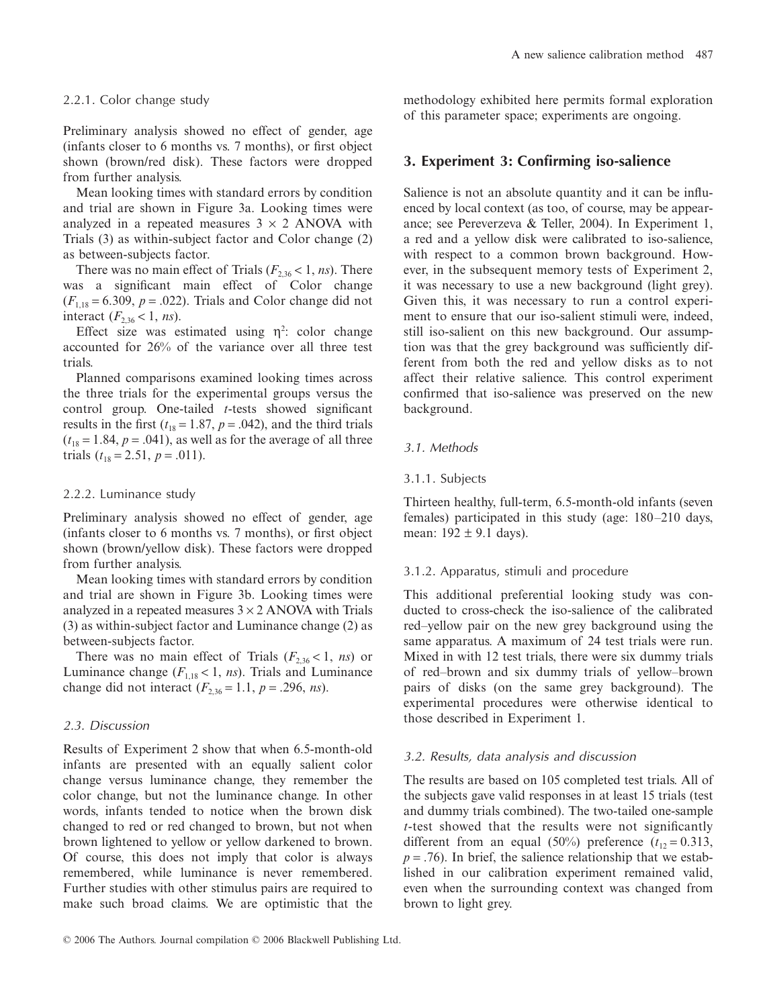#### 2.2.1. Color change study

Preliminary analysis showed no effect of gender, age (infants closer to 6 months vs. 7 months), or first object shown (brown/red disk). These factors were dropped from further analysis.

Mean looking times with standard errors by condition and trial are shown in Figure 3a. Looking times were analyzed in a repeated measures  $3 \times 2$  ANOVA with Trials (3) as within-subject factor and Color change (2) as between-subjects factor.

There was no main effect of Trials  $(F_{2,36} < 1, ns)$ . There was a significant main effect of Color change  $(F_{1,18} = 6.309, p = .022)$ . Trials and Color change did not interact  $(F_{2,36} < 1, ns)$ .

Effect size was estimated using  $\eta^2$ : color change accounted for 26% of the variance over all three test trials.

Planned comparisons examined looking times across the three trials for the experimental groups versus the control group. One-tailed *t*-tests showed significant results in the first  $(t_{18} = 1.87, p = .042)$ , and the third trials  $(t_{18} = 1.84, p = .041)$ , as well as for the average of all three trials  $(t_{18} = 2.51, p = .011)$ .

#### 2.2.2. Luminance study

Preliminary analysis showed no effect of gender, age (infants closer to 6 months vs. 7 months), or first object shown (brown/yellow disk). These factors were dropped from further analysis.

Mean looking times with standard errors by condition and trial are shown in Figure 3b. Looking times were analyzed in a repeated measures  $3 \times 2$  ANOVA with Trials (3) as within-subject factor and Luminance change (2) as between-subjects factor.

There was no main effect of Trials  $(F_{2,36} < 1, ns)$  or Luminance change  $(F_{1,18} < 1, ns)$ . Trials and Luminance change did not interact  $(F_{2,36} = 1.1, p = .296, ns)$ .

#### 2.3. Discussion

Results of Experiment 2 show that when 6.5-month-old infants are presented with an equally salient color change versus luminance change, they remember the color change, but not the luminance change. In other words, infants tended to notice when the brown disk changed to red or red changed to brown, but not when brown lightened to yellow or yellow darkened to brown. Of course, this does not imply that color is always remembered, while luminance is never remembered. Further studies with other stimulus pairs are required to make such broad claims. We are optimistic that the methodology exhibited here permits formal exploration of this parameter space; experiments are ongoing.

# **3. Experiment 3: Confirming iso-salience**

Salience is not an absolute quantity and it can be influenced by local context (as too, of course, may be appearance; see Pereverzeva & Teller, 2004). In Experiment 1, a red and a yellow disk were calibrated to iso-salience, with respect to a common brown background. However, in the subsequent memory tests of Experiment 2, it was necessary to use a new background (light grey). Given this, it was necessary to run a control experiment to ensure that our iso-salient stimuli were, indeed, still iso-salient on this new background. Our assumption was that the grey background was sufficiently different from both the red and yellow disks as to not affect their relative salience. This control experiment confirmed that iso-salience was preserved on the new background.

#### 3.1. Methods

#### 3.1.1. Subjects

Thirteen healthy, full-term, 6.5-month-old infants (seven females) participated in this study (age: 180–210 days, mean:  $192 \pm 9.1$  days).

#### 3.1.2. Apparatus, stimuli and procedure

This additional preferential looking study was conducted to cross-check the iso-salience of the calibrated red–yellow pair on the new grey background using the same apparatus. A maximum of 24 test trials were run. Mixed in with 12 test trials, there were six dummy trials of red–brown and six dummy trials of yellow–brown pairs of disks (on the same grey background). The experimental procedures were otherwise identical to those described in Experiment 1.

#### 3.2. Results, data analysis and discussion

The results are based on 105 completed test trials. All of the subjects gave valid responses in at least 15 trials (test and dummy trials combined). The two-tailed one-sample *t*-test showed that the results were not significantly different from an equal (50%) preference  $(t_{12} = 0.313,$  $p = .76$ ). In brief, the salience relationship that we established in our calibration experiment remained valid, even when the surrounding context was changed from brown to light grey.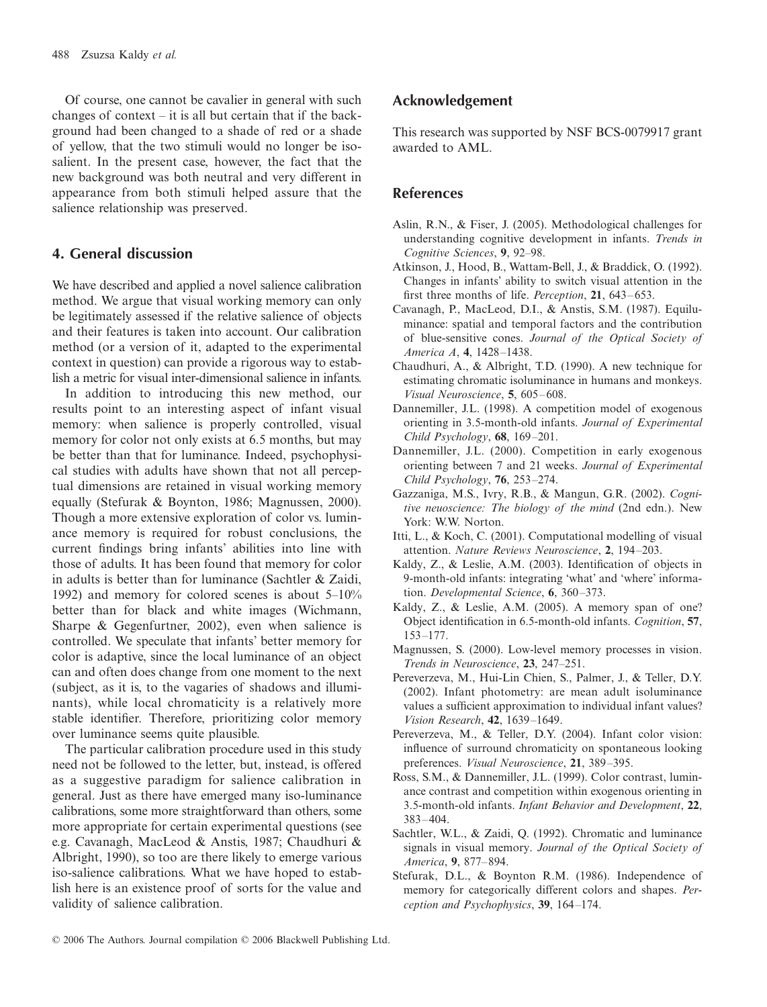Of course, one cannot be cavalier in general with such changes of context – it is all but certain that if the background had been changed to a shade of red or a shade of yellow, that the two stimuli would no longer be isosalient. In the present case, however, the fact that the new background was both neutral and very different in appearance from both stimuli helped assure that the salience relationship was preserved.

# **4. General discussion**

We have described and applied a novel salience calibration method. We argue that visual working memory can only be legitimately assessed if the relative salience of objects and their features is taken into account. Our calibration method (or a version of it, adapted to the experimental context in question) can provide a rigorous way to establish a metric for visual inter-dimensional salience in infants.

In addition to introducing this new method, our results point to an interesting aspect of infant visual memory: when salience is properly controlled, visual memory for color not only exists at 6.5 months, but may be better than that for luminance. Indeed, psychophysical studies with adults have shown that not all perceptual dimensions are retained in visual working memory equally (Stefurak & Boynton, 1986; Magnussen, 2000). Though a more extensive exploration of color vs. luminance memory is required for robust conclusions, the current findings bring infants' abilities into line with those of adults. It has been found that memory for color in adults is better than for luminance (Sachtler & Zaidi, 1992) and memory for colored scenes is about 5–10% better than for black and white images (Wichmann, Sharpe & Gegenfurtner, 2002), even when salience is controlled. We speculate that infants' better memory for color is adaptive, since the local luminance of an object can and often does change from one moment to the next (subject, as it is, to the vagaries of shadows and illuminants), while local chromaticity is a relatively more stable identifier. Therefore, prioritizing color memory over luminance seems quite plausible.

The particular calibration procedure used in this study need not be followed to the letter, but, instead, is offered as a suggestive paradigm for salience calibration in general. Just as there have emerged many iso-luminance calibrations, some more straightforward than others, some more appropriate for certain experimental questions (see e.g. Cavanagh, MacLeod & Anstis, 1987; Chaudhuri & Albright, 1990), so too are there likely to emerge various iso-salience calibrations. What we have hoped to establish here is an existence proof of sorts for the value and validity of salience calibration.

## **Acknowledgement**

This research was supported by NSF BCS-0079917 grant awarded to AML.

### **References**

- Aslin, R.N., & Fiser, J. (2005). Methodological challenges for understanding cognitive development in infants. *Trends in Cognitive Sciences*, **9**, 92–98.
- Atkinson, J., Hood, B., Wattam-Bell, J., & Braddick, O. (1992). Changes in infants' ability to switch visual attention in the first three months of life. *Perception*, **21**, 643–653.
- Cavanagh, P., MacLeod, D.I., & Anstis, S.M. (1987). Equiluminance: spatial and temporal factors and the contribution of blue-sensitive cones. *Journal of the Optical Society of America A*, **4**, 1428–1438.
- Chaudhuri, A., & Albright, T.D. (1990). A new technique for estimating chromatic isoluminance in humans and monkeys. *Visual Neuroscience*, **5**, 605–608.
- Dannemiller, J.L. (1998). A competition model of exogenous orienting in 3.5-month-old infants. *Journal of Experimental Child Psychology*, **68**, 169–201.
- Dannemiller, J.L. (2000). Competition in early exogenous orienting between 7 and 21 weeks. *Journal of Experimental Child Psychology*, **76**, 253–274.
- Gazzaniga, M.S., Ivry, R.B., & Mangun, G.R. (2002). *Cognitive neuoscience: The biology of the mind* (2nd edn.). New York: W.W. Norton.
- Itti, L., & Koch, C. (2001). Computational modelling of visual attention. *Nature Reviews Neuroscience*, **2**, 194–203.
- Kaldy, Z., & Leslie, A.M. (2003). Identification of objects in 9-month-old infants: integrating 'what' and 'where' information. *Developmental Science*, **6**, 360–373.
- Kaldy, Z., & Leslie, A.M. (2005). A memory span of one? Object identification in 6.5-month-old infants. *Cognition*, **57**, 153–177.
- Magnussen, S. (2000). Low-level memory processes in vision. *Trends in Neuroscience*, **23**, 247–251.
- Pereverzeva, M., Hui-Lin Chien, S., Palmer, J., & Teller, D.Y. (2002). Infant photometry: are mean adult isoluminance values a sufficient approximation to individual infant values? *Vision Research*, **42**, 1639–1649.
- Pereverzeva, M., & Teller, D.Y. (2004). Infant color vision: influence of surround chromaticity on spontaneous looking preferences. *Visual Neuroscience*, **21**, 389–395.
- Ross, S.M., & Dannemiller, J.L. (1999). Color contrast, luminance contrast and competition within exogenous orienting in 3.5-month-old infants. *Infant Behavior and Development*, **22**, 383–404.
- Sachtler, W.L., & Zaidi, Q. (1992). Chromatic and luminance signals in visual memory. *Journal of the Optical Society of America*, **9**, 877–894.
- Stefurak, D.L., & Boynton R.M. (1986). Independence of memory for categorically different colors and shapes. *Perception and Psychophysics*, **39**, 164–174.